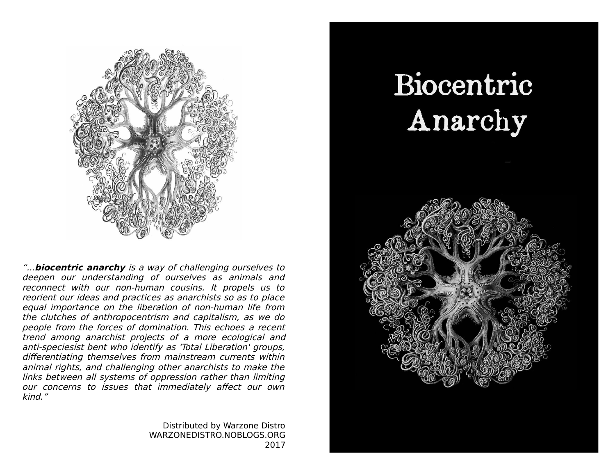

"...**biocentric anarchy** is a way of challenging ourselves to deepen our understanding of ourselves as animals and reconnect with our non-human cousins. It propels us to reorient our ideas and practices as anarchists so as to place equal importance on the liberation of non-human life from the clutches of anthropocentrism and capitalism, as we do people from the forces of domination. This echoes a recent trend among anarchist projects of a more ecological and anti-speciesist bent who identify as 'Total Liberation' groups, differentiating themselves from mainstream currents within animal rights, and challenging other anarchists to make the links between all systems of oppression rather than limiting our concerns to issues that immediately affect our own kind."

> Distributed by Warzone Distro WARZONEDISTRO.NOBLOGS.ORG 2017

# Biocentric Anarchy

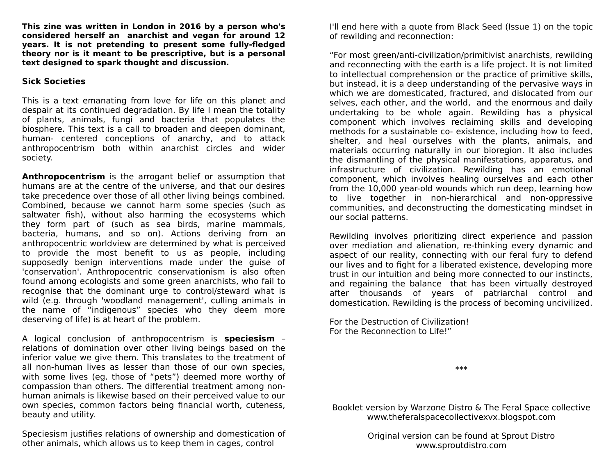**This zine was written in London in 2016 by a person who's considered herself an anarchist and vegan for around 12 years. It is not pretending to present some fully-fledged theory nor is it meant to be prescriptive, but is a personal text designed to spark thought and discussion.**

## **Sick Societies**

This is a text emanating from love for life on this planet and despair at its continued degradation. By life I mean the totality of plants, animals, fungi and bacteria that populates the biosphere. This text is a call to broaden and deepen dominant, human- centered conceptions of anarchy, and to attack anthropocentrism both within anarchist circles and wider society.

**Anthropocentrism** is the arrogant belief or assumption that humans are at the centre of the universe, and that our desires take precedence over those of all other living beings combined. Combined, because we cannot harm some species (such as saltwater fish), without also harming the ecosystems which they form part of (such as sea birds, marine mammals, bacteria, humans, and so on). Actions deriving from an anthropocentric worldview are determined by what is perceived to provide the most benefit to us as people, including supposedly benign interventions made under the guise of 'conservation'. Anthropocentric conservationism is also often found among ecologists and some green anarchists, who fail to recognise that the dominant urge to control/steward what is wild (e.g. through 'woodland management', culling animals in the name of "indigenous" species who they deem more deserving of life) is at heart of the problem.

A logical conclusion of anthropocentrism is **speciesism** – relations of domination over other living beings based on the inferior value we give them. This translates to the treatment of all non-human lives as lesser than those of our own species, with some lives (eg. those of "pets") deemed more worthy of compassion than others. The differential treatment among nonhuman animals is likewise based on their perceived value to our own species, common factors being financial worth, cuteness, beauty and utility.

Speciesism justifies relations of ownership and domestication of other animals, which allows us to keep them in cages, control

I'll end here with a quote from Black Seed (Issue 1) on the topic of rewilding and reconnection:

"For most green/anti-civilization/primitivist anarchists, rewilding and reconnecting with the earth is a life project. It is not limited to intellectual comprehension or the practice of primitive skills, but instead, it is a deep understanding of the pervasive ways in which we are domesticated, fractured, and dislocated from our selves, each other, and the world, and the enormous and daily undertaking to be whole again. Rewilding has a physical component which involves reclaiming skills and developing methods for a sustainable co- existence, including how to feed, shelter, and heal ourselves with the plants, animals, and materials occurring naturally in our bioregion. It also includes the dismantling of the physical manifestations, apparatus, and infrastructure of civilization. Rewilding has an emotional component, which involves healing ourselves and each other from the 10,000 year-old wounds which run deep, learning how to live together in non-hierarchical and non-oppressive communities, and deconstructing the domesticating mindset in our social patterns.

Rewilding involves prioritizing direct experience and passion over mediation and alienation, re-thinking every dynamic and aspect of our reality, connecting with our feral fury to defend our lives and to fight for a liberated existence, developing more trust in our intuition and being more connected to our instincts, and regaining the balance that has been virtually destroyed after thousands of years of patriarchal control and domestication. Rewilding is the process of becoming uncivilized.

For the Destruction of Civilization! For the Reconnection to Life!"

\*\*\*

Booklet version by Warzone Distro & The Feral Space collective www.theferalspacecollectivexvx.blogspot.com

> Original version can be found at Sprout Distro www.sproutdistro.com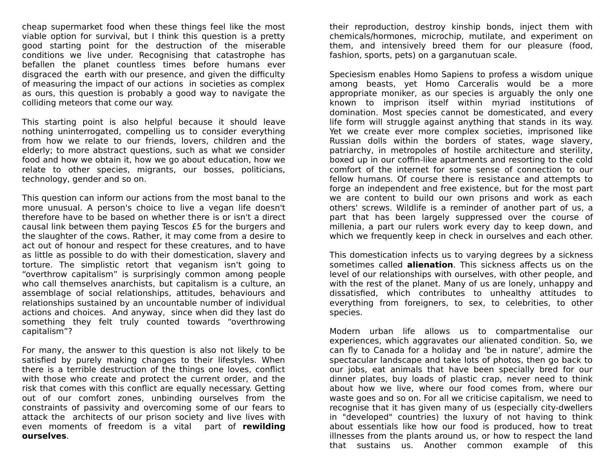cheap supermarket food when these things feel like the most viable option for survival, but I think this question is a pretty good starting point for the destruction of the miserable conditions we live under. Recognising that catastrophe has befallen the planet countless times before humans ever disgraced the earth with our presence, and given the difficulty of measuring the impact of our actions in societies as complex as ours, this question is probably a good way to navigate the colliding meteors that come our way.

This starting point is also helpful because it should leave nothing uninterrogated, compelling us to consider everything from how we relate to our friends, lovers, children and the elderly; to more abstract questions, such as what we consider food and how we obtain it, how we go about education, how we relate to other species, migrants, our bosses, politicians, technology, gender and so on.

This question can inform our actions from the most banal to the more unusual. A person's choice to live a vegan life doesn't therefore have to be based on whether there is or isn't a direct causal link between them paying Tescos £5 for the burgers and the slaughter of the cows. Rather, it may come from a desire to act out of honour and respect for these creatures, and to have as little as possible to do with their domestication, slavery and torture. The simplistic retort that veganism isn't going to "overthrow capitalism" is surprisingly common among people who call themselves anarchists, but capitalism is a culture, an assemblage of social relationships, attitudes, behaviours and relationships sustained by an uncountable number of individual actions and choices. And anyway, since when did they last do something they felt truly counted towards "overthrowing capitalism"?

For many, the answer to this question is also not likely to be satisfied by purely making changes to their lifestyles. When there is a terrible destruction of the things one loves, conflict with those who create and protect the current order, and the risk that comes with this conflict are equally necessary. Getting out of our comfort zones, unbinding ourselves from the constraints of passivity and overcoming some of our fears to attack the architects of our prison society and live lives with even moments of freedom is a vital part of **rewilding ourselves**.

their reproduction, destroy kinship bonds, inject them with chemicals/hormones, microchip, mutilate, and experiment on them, and intensively breed them for our pleasure (food, fashion, sports, pets) on a garganutuan scale.

Speciesism enables Homo Sapiens to profess a wisdom unique among beasts, yet Homo Carceralis would be a more appropriate moniker, as our species is arguably the only one known to imprison itself within myriad institutions of domination. Most species cannot be domesticated, and every life form will struggle against anything that stands in its way. Yet we create ever more complex societies, imprisoned like Russian dolls within the borders of states, wage slavery, patriarchy, in metropoles of hostile architecture and sterility, boxed up in our coffin-like apartments and resorting to the cold comfort of the internet for some sense of connection to our fellow humans. Of course there is resistance and attempts to forge an independent and free existence, but for the most part we are content to build our own prisons and work as each others' screws. Wildlife is a reminder of another part of us, a part that has been largely suppressed over the course of millenia, a part our rulers work every day to keep down, and which we frequently keep in check in ourselves and each other.

This domestication infects us to varying degrees by a sickness sometimes called **alienation**. This sickness affects us on the level of our relationships with ourselves, with other people, and with the rest of the planet. Many of us are lonely, unhappy and dissatisfied, which contributes to unhealthy attitudes to everything from foreigners, to sex, to celebrities, to other species.

Modern urban life allows us to compartmentalise our experiences, which aggravates our alienated condition. So, we can fly to Canada for a holiday and 'be in nature', admire the spectacular landscape and take lots of photos, then go back to our jobs, eat animals that have been specially bred for our dinner plates, buy loads of plastic crap, never need to think about how we live, where our food comes from, where our waste goes and so on. For all we criticise capitalism, we need to recognise that it has given many of us (especially city-dwellers in "developed" countries) the luxury of not having to think about essentials like how our food is produced, how to treat illnesses from the plants around us, or how to respect the land that sustains us. Another common example of this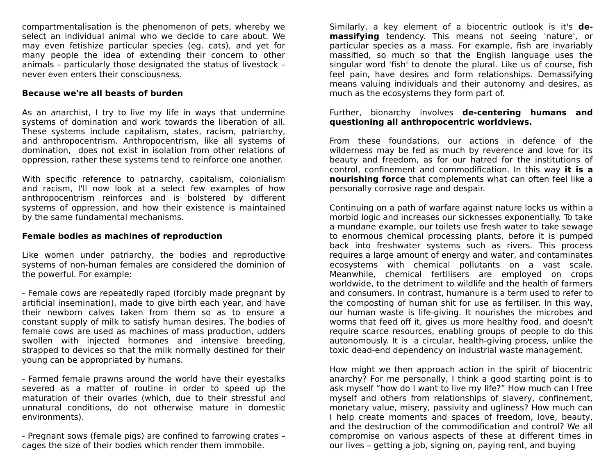compartmentalisation is the phenomenon of pets, whereby we select an individual animal who we decide to care about. We may even fetishize particular species (eg. cats), and yet for many people the idea of extending their concern to other animals – particularly those designated the status of livestock – never even enters their consciousness.

## **Because we're all beasts of burden**

As an anarchist, I try to live my life in ways that undermine systems of domination and work towards the liberation of all. These systems include capitalism, states, racism, patriarchy, and anthropocentrism. Anthropocentrism, like all systems of domination, does not exist in isolation from other relations of oppression, rather these systems tend to reinforce one another.

With specific reference to patriarchy, capitalism, colonialism and racism, I'll now look at a select few examples of how anthropocentrism reinforces and is bolstered by different systems of oppression, and how their existence is maintained by the same fundamental mechanisms.

## **Female bodies as machines of reproduction**

Like women under patriarchy, the bodies and reproductive systems of non-human females are considered the dominion of the powerful. For example:

- Female cows are repeatedly raped (forcibly made pregnant by artificial insemination), made to give birth each year, and have their newborn calves taken from them so as to ensure a constant supply of milk to satisfy human desires. The bodies of female cows are used as machines of mass production, udders swollen with injected hormones and intensive breeding, strapped to devices so that the milk normally destined for their young can be appropriated by humans.

- Farmed female prawns around the world have their eyestalks severed as a matter of routine in order to speed up the maturation of their ovaries (which, due to their stressful and unnatural conditions, do not otherwise mature in domestic environments).

- Pregnant sows (female pigs) are confined to farrowing crates – cages the size of their bodies which render them immobile.

Similarly, a key element of a biocentric outlook is it's **demassifying** tendency. This means not seeing 'nature', or particular species as a mass. For example, fish are invariably massified, so much so that the English language uses the singular word 'fish' to denote the plural. Like us of course, fish feel pain, have desires and form relationships. Demassifying means valuing individuals and their autonomy and desires, as much as the ecosystems they form part of.

#### Further, bionarchy involves **de-centering humans and questioning all anthropocentric worldviews.**

From these foundations, our actions in defence of the wilderness may be fed as much by reverence and love for its beauty and freedom, as for our hatred for the institutions of control, confinement and commodification. In this way **it is a nourishing force** that complements what can often feel like a personally corrosive rage and despair.

Continuing on a path of warfare against nature locks us within a morbid logic and increases our sicknesses exponentially. To take a mundane example, our toilets use fresh water to take sewage to enormous chemical processing plants, before it is pumped back into freshwater systems such as rivers. This process requires a large amount of energy and water, and contaminates ecosystems with chemical pollutants on a vast scale. Meanwhile, chemical fertilisers are employed on crops worldwide, to the detriment to wildlife and the health of farmers and consumers. In contrast, humanure is a term used to refer to the composting of human shit for use as fertiliser. In this way, our human waste is life-giving. It nourishes the microbes and worms that feed off it, gives us more healthy food, and doesn't require scarce resources, enabling groups of people to do this autonomously. It is a circular, health-giving process, unlike the toxic dead-end dependency on industrial waste management.

How might we then approach action in the spirit of biocentric anarchy? For me personally, I think a good starting point is to ask myself "how do I want to live my life?" How much can I free myself and others from relationships of slavery, confinement, monetary value, misery, passivity and ugliness? How much can I help create moments and spaces of freedom, love, beauty, and the destruction of the commodification and control? We all compromise on various aspects of these at different times in our lives – getting a job, signing on, paying rent, and buying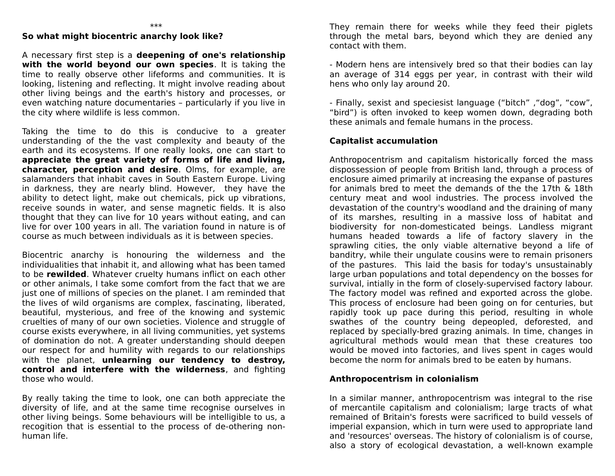# **So what might biocentric anarchy look like?**

A necessary first step is a **deepening of one's relationship with the world beyond our own species**. It is taking the time to really observe other lifeforms and communities. It is looking, listening and reflecting. It might involve reading about other living beings and the earth's history and processes, or even watching nature documentaries – particularly if you live in the city where wildlife is less common.

Taking the time to do this is conducive to a greater understanding of the the vast complexity and beauty of the earth and its ecosystems. If one really looks, one can start to **appreciate the great variety of forms of life and living, character, perception and desire**. Olms, for example, are salamanders that inhabit caves in South Eastern Europe. Living in darkness, they are nearly blind. However, they have the ability to detect light, make out chemicals, pick up vibrations, receive sounds in water, and sense magnetic fields. It is also thought that they can live for 10 years without eating, and can live for over 100 years in all. The variation found in nature is of course as much between individuals as it is between species.

Biocentric anarchy is honouring the wilderness and the individualities that inhabit it, and allowing what has been tamed to be **rewilded**. Whatever cruelty humans inflict on each other or other animals, I take some comfort from the fact that we are just one of millions of species on the planet. I am reminded that the lives of wild organisms are complex, fascinating, liberated, beautiful, mysterious, and free of the knowing and systemic cruelties of many of our own societies. Violence and struggle of course exists everywhere, in all living communities, yet systems of domination do not. A greater understanding should deepen our respect for and humility with regards to our relationships with the planet, **unlearning our tendency to destroy, control and interfere with the wilderness**, and fighting those who would.

By really taking the time to look, one can both appreciate the diversity of life, and at the same time recognise ourselves in other living beings. Some behaviours will be intelligible to us, a recogition that is essential to the process of de-othering nonhuman life.

They remain there for weeks while they feed their piglets through the metal bars, beyond which they are denied any contact with them.

- Modern hens are intensively bred so that their bodies can lay an average of 314 eggs per year, in contrast with their wild hens who only lay around 20.

- Finally, sexist and speciesist language ("bitch" ,"dog", "cow", "bird") is often invoked to keep women down, degrading both these animals and female humans in the process.

# **Capitalist accumulation**

Anthropocentrism and capitalism historically forced the mass dispossession of people from British land, through a process of enclosure aimed primarily at increasing the expanse of pastures for animals bred to meet the demands of the the 17th & 18th century meat and wool industries. The process involved the devastation of the country's woodland and the draining of many of its marshes, resulting in a massive loss of habitat and biodiversity for non-domesticated beings. Landless migrant humans headed towards a life of factory slavery in the sprawling cities, the only viable alternative beyond a life of banditry, while their ungulate cousins were to remain prisoners of the pastures. This laid the basis for today's unsustainably large urban populations and total dependency on the bosses for survival, intially in the form of closely-supervised factory labour. The factory model was refined and exported across the globe. This process of enclosure had been going on for centuries, but rapidly took up pace during this period, resulting in whole swathes of the country being depeopled, deforested, and replaced by specially-bred grazing animals. In time, changes in agricultural methods would mean that these creatures too would be moved into factories, and lives spent in cages would become the norm for animals bred to be eaten by humans.

## **Anthropocentrism in colonialism**

In a similar manner, anthropocentrism was integral to the rise of mercantile capitalism and colonialism; large tracts of what remained of Britain's forests were sacrificed to build vessels of imperial expansion, which in turn were used to appropriate land and 'resources' overseas. The history of colonialism is of course, also a story of ecological devastation, a well-known example